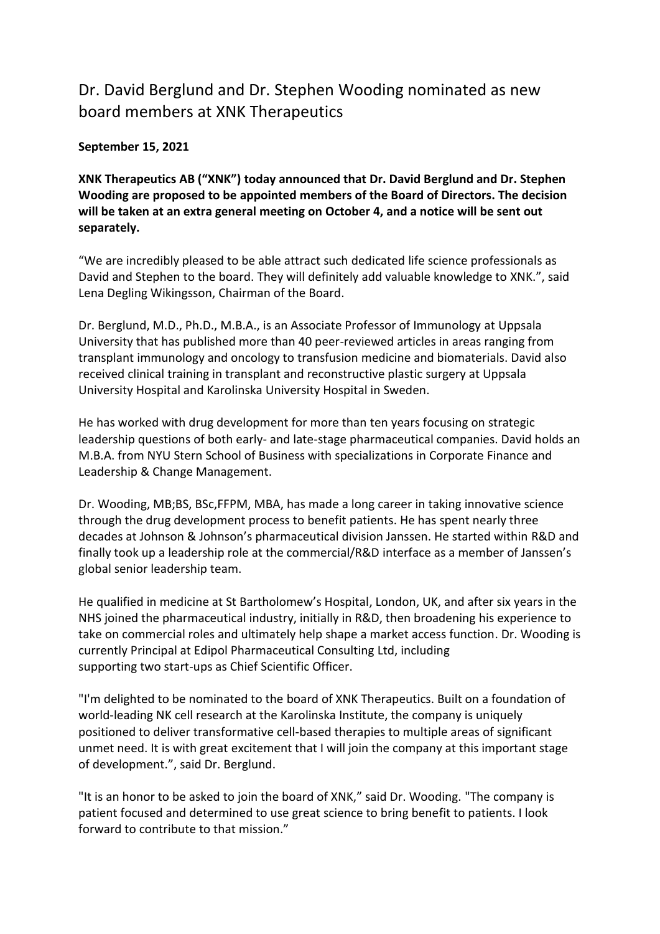## Dr. David Berglund and Dr. Stephen Wooding nominated as new board members at XNK Therapeutics

## **September 15, 2021**

**XNK Therapeutics AB ("XNK") today announced that Dr. David Berglund and Dr. Stephen Wooding are proposed to be appointed members of the Board of Directors. The decision will be taken at an extra general meeting on October 4, and a notice will be sent out separately.**

"We are incredibly pleased to be able attract such dedicated life science professionals as David and Stephen to the board. They will definitely add valuable knowledge to XNK.", said Lena Degling Wikingsson, Chairman of the Board.

Dr. Berglund, M.D., Ph.D., M.B.A., is an Associate Professor of Immunology at Uppsala University that has published more than 40 peer-reviewed articles in areas ranging from transplant immunology and oncology to transfusion medicine and biomaterials. David also received clinical training in transplant and reconstructive plastic surgery at Uppsala University Hospital and Karolinska University Hospital in Sweden.

He has worked with drug development for more than ten years focusing on strategic leadership questions of both early- and late-stage pharmaceutical companies. David holds an M.B.A. from NYU Stern School of Business with specializations in Corporate Finance and Leadership & Change Management.

Dr. Wooding, MB;BS, BSc,FFPM, MBA, has made a long career in taking innovative science through the drug development process to benefit patients. He has spent nearly three decades at Johnson & Johnson's pharmaceutical division Janssen. He started within R&D and finally took up a leadership role at the commercial/R&D interface as a member of Janssen's global senior leadership team.

He qualified in medicine at St Bartholomew's Hospital, London, UK, and after six years in the NHS joined the pharmaceutical industry, initially in R&D, then broadening his experience to take on commercial roles and ultimately help shape a market access function. Dr. Wooding is currently Principal at Edipol Pharmaceutical Consulting Ltd, including supporting two start-ups as Chief Scientific Officer.

"I'm delighted to be nominated to the board of XNK Therapeutics. Built on a foundation of world-leading NK cell research at the Karolinska Institute, the company is uniquely positioned to deliver transformative cell-based therapies to multiple areas of significant unmet need. It is with great excitement that I will join the company at this important stage of development.", said Dr. Berglund.

"It is an honor to be asked to join the board of XNK," said Dr. Wooding. "The company is patient focused and determined to use great science to bring benefit to patients. I look forward to contribute to that mission."